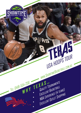